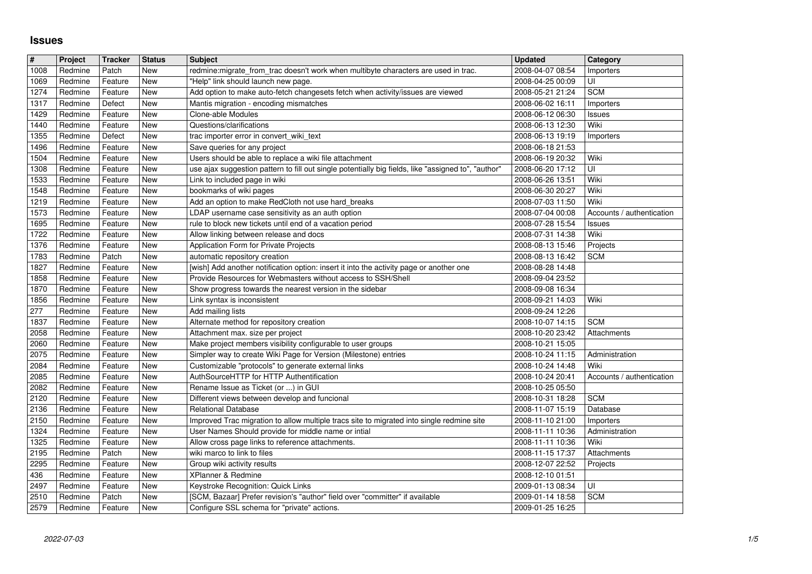## **Issues**

| $\vert$ # | Project | <b>Tracker</b> | <b>Status</b> | <b>Subject</b>                                                                                      | <b>Updated</b>   | Category                  |
|-----------|---------|----------------|---------------|-----------------------------------------------------------------------------------------------------|------------------|---------------------------|
| 1008      | Redmine | Patch          | New           | redmine:migrate_from_trac doesn't work when multibyte characters are used in trac.                  | 2008-04-07 08:54 | Importers                 |
| 1069      | Redmine | Feature        | New           | "Help" link should launch new page.                                                                 | 2008-04-25 00:09 | UI                        |
| 1274      | Redmine | Feature        | New           | Add option to make auto-fetch changesets fetch when activity/issues are viewed                      | 2008-05-21 21:24 | <b>SCM</b>                |
| 1317      | Redmine | Defect         | New           | Mantis migration - encoding mismatches                                                              | 2008-06-02 16:11 | Importers                 |
| 1429      | Redmine | Feature        | New           | Clone-able Modules                                                                                  | 2008-06-12 06:30 | Issues                    |
| 1440      | Redmine | Feature        | New           | Questions/clarifications                                                                            | 2008-06-13 12:30 | Wiki                      |
| 1355      | Redmine | Defect         | New           | trac importer error in convert_wiki_text                                                            | 2008-06-13 19:19 | Importers                 |
| 1496      | Redmine | Feature        | New           | Save queries for any project                                                                        | 2008-06-18 21:53 |                           |
| 1504      | Redmine | Feature        | New           | Users should be able to replace a wiki file attachment                                              | 2008-06-19 20:32 | Wiki                      |
| 1308      | Redmine | Feature        | New           | use ajax suggestion pattern to fill out single potentially big fields, like "assigned to", "author" | 2008-06-20 17:12 | UI                        |
| 1533      | Redmine | Feature        | New           | Link to included page in wiki                                                                       | 2008-06-26 13:51 | Wiki                      |
| 1548      | Redmine | Feature        | New           | bookmarks of wiki pages                                                                             | 2008-06-30 20:27 | Wiki                      |
| 1219      | Redmine | Feature        | New           | Add an option to make RedCloth not use hard_breaks                                                  | 2008-07-03 11:50 | Wiki                      |
| 1573      | Redmine | Feature        | New           | LDAP username case sensitivity as an auth option                                                    | 2008-07-04 00:08 | Accounts / authentication |
| 1695      | Redmine | Feature        | New           | rule to block new tickets until end of a vacation period                                            | 2008-07-28 15:54 | Issues                    |
| 1722      | Redmine | Feature        | New           | Allow linking between release and docs                                                              | 2008-07-31 14:38 | Wiki                      |
| 1376      | Redmine | Feature        | New           | Application Form for Private Projects                                                               | 2008-08-13 15:46 | Projects                  |
| 1783      | Redmine | Patch          | New           | automatic repository creation                                                                       | 2008-08-13 16:42 | <b>SCM</b>                |
| 1827      | Redmine | Feature        | New           | [wish] Add another notification option: insert it into the activity page or another one             | 2008-08-28 14:48 |                           |
| 1858      | Redmine | Feature        | New           | Provide Resources for Webmasters without access to SSH/Shell                                        | 2008-09-04 23:52 |                           |
| 1870      | Redmine | Feature        | New           | Show progress towards the nearest version in the sidebar                                            | 2008-09-08 16:34 |                           |
| 1856      | Redmine | Feature        | New           | Link syntax is inconsistent                                                                         | 2008-09-21 14:03 | Wiki                      |
| 277       | Redmine | Feature        | New           | Add mailing lists                                                                                   | 2008-09-24 12:26 |                           |
| 1837      | Redmine | Feature        | New           | Alternate method for repository creation                                                            | 2008-10-07 14:15 | <b>SCM</b>                |
| 2058      | Redmine | Feature        | New           | Attachment max. size per project                                                                    | 2008-10-20 23:42 | Attachments               |
| 2060      | Redmine | Feature        | New           | Make project members visibility configurable to user groups                                         | 2008-10-21 15:05 |                           |
| 2075      | Redmine | Feature        | New           | Simpler way to create Wiki Page for Version (Milestone) entries                                     | 2008-10-24 11:15 | Administration            |
| 2084      | Redmine | Feature        | New           | Customizable "protocols" to generate external links                                                 | 2008-10-24 14:48 | Wiki                      |
| 2085      | Redmine | Feature        | <b>New</b>    | AuthSourceHTTP for HTTP Authentification                                                            | 2008-10-24 20:41 | Accounts / authentication |
| 2082      | Redmine | Feature        | New           | Rename Issue as Ticket (or ) in GUI                                                                 | 2008-10-25 05:50 |                           |
| 2120      | Redmine | Feature        | New           | Different views between develop and funcional                                                       | 2008-10-31 18:28 | <b>SCM</b>                |
| 2136      | Redmine | Feature        | New           | <b>Relational Database</b>                                                                          | 2008-11-07 15:19 | Database                  |
| 2150      | Redmine | Feature        | New           | Improved Trac migration to allow multiple tracs site to migrated into single redmine site           | 2008-11-10 21:00 | Importers                 |
| 1324      | Redmine | Feature        | New           | User Names Should provide for middle name or intial                                                 | 2008-11-11 10:36 | Administration            |
| 1325      | Redmine | Feature        | New           | Allow cross page links to reference attachments.                                                    | 2008-11-11 10:36 | Wiki                      |
| 2195      | Redmine | Patch          | New           | wiki marco to link to files                                                                         | 2008-11-15 17:37 | Attachments               |
| 2295      | Redmine | Feature        | New           | Group wiki activity results                                                                         | 2008-12-07 22:52 | Projects                  |
| 436       | Redmine | Feature        | New           | XPlanner & Redmine                                                                                  | 2008-12-10 01:51 |                           |
| 2497      | Redmine | Feature        | New           | Keystroke Recognition: Quick Links                                                                  | 2009-01-13 08:34 | U                         |
| 2510      | Redmine | Patch          | New           | [SCM, Bazaar] Prefer revision's "author" field over "committer" if available                        | 2009-01-14 18:58 | <b>SCM</b>                |
| 2579      | Redmine | Feature        | New           | Configure SSL schema for "private" actions.                                                         | 2009-01-25 16:25 |                           |
|           |         |                |               |                                                                                                     |                  |                           |
|           |         |                |               |                                                                                                     |                  |                           |
|           |         |                |               |                                                                                                     |                  |                           |
|           |         |                |               |                                                                                                     |                  |                           |
|           |         |                |               |                                                                                                     |                  |                           |
|           |         |                |               |                                                                                                     |                  |                           |
|           |         |                |               |                                                                                                     |                  |                           |
|           |         |                |               |                                                                                                     |                  |                           |
|           |         |                |               |                                                                                                     |                  |                           |
|           |         |                |               |                                                                                                     |                  |                           |
|           |         |                |               |                                                                                                     |                  |                           |
|           |         |                |               |                                                                                                     |                  |                           |
|           |         |                |               |                                                                                                     |                  |                           |
|           |         |                |               |                                                                                                     |                  |                           |
|           |         |                |               |                                                                                                     |                  |                           |
|           |         |                |               |                                                                                                     |                  |                           |
|           |         |                |               |                                                                                                     |                  |                           |
|           |         |                |               |                                                                                                     |                  |                           |
|           |         |                |               |                                                                                                     |                  |                           |
|           |         |                |               |                                                                                                     |                  |                           |
|           |         |                |               |                                                                                                     |                  |                           |
|           |         |                |               |                                                                                                     |                  |                           |
|           |         |                |               |                                                                                                     |                  |                           |
|           |         |                |               |                                                                                                     |                  |                           |
|           |         |                |               |                                                                                                     |                  |                           |
|           |         |                |               |                                                                                                     |                  |                           |
|           |         |                |               |                                                                                                     |                  |                           |
|           |         |                |               |                                                                                                     |                  |                           |
|           |         |                |               |                                                                                                     |                  |                           |
|           |         |                |               |                                                                                                     |                  |                           |
|           |         |                |               |                                                                                                     |                  |                           |
|           |         |                |               |                                                                                                     |                  |                           |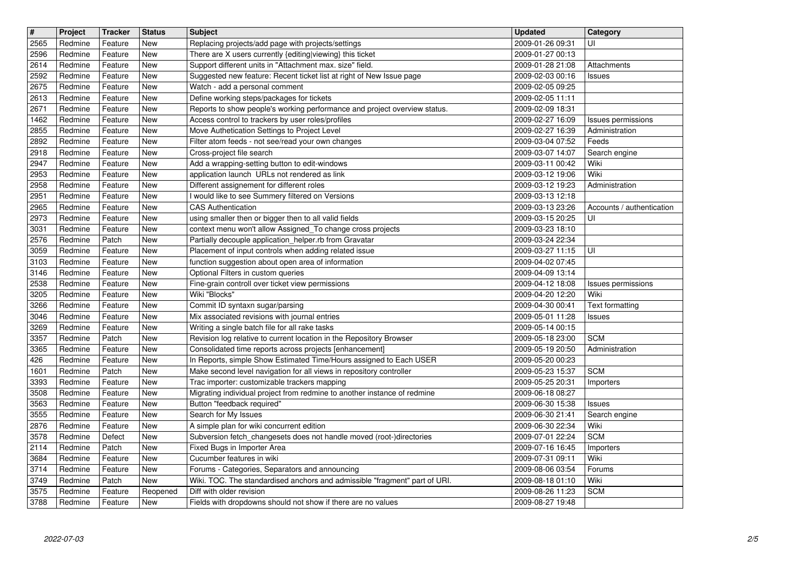| $\overline{\mathbf{H}}$ | Project            | <b>Tracker</b>     | <b>Status</b> | <b>Subject</b>                                                                                                                 | <b>Updated</b>                       | Category                             |
|-------------------------|--------------------|--------------------|---------------|--------------------------------------------------------------------------------------------------------------------------------|--------------------------------------|--------------------------------------|
| 2565                    | Redmine            | Feature            | <b>New</b>    | Replacing projects/add page with projects/settings                                                                             | 2009-01-26 09:31                     | UI                                   |
| 2596                    | Redmine            | Feature            | New           | There are X users currently {editing viewing} this ticket                                                                      | 2009-01-27 00:13                     |                                      |
| 2614                    | Redmine            | Feature            | New           | Support different units in "Attachment max. size" field.                                                                       | 2009-01-28 21:08                     | Attachments                          |
| 2592                    | Redmine            | Feature            | New           | Suggested new feature: Recent ticket list at right of New Issue page                                                           | 2009-02-03 00:16                     | Issues                               |
| 2675                    | Redmine            | Feature            | New           | Watch - add a personal comment                                                                                                 | 2009-02-05 09:25                     |                                      |
| 2613                    | Redmine            | Feature            | New           | Define working steps/packages for tickets                                                                                      | 2009-02-05 11:11                     |                                      |
| 2671<br>1462            | Redmine<br>Redmine | Feature<br>Feature | New<br>New    | Reports to show people's working performance and project overview status.<br>Access control to trackers by user roles/profiles | 2009-02-09 18:31<br>2009-02-27 16:09 |                                      |
| 2855                    | Redmine            | Feature            | New           | Move Authetication Settings to Project Level                                                                                   | 2009-02-27 16:39                     | Issues permissions<br>Administration |
| 2892                    | Redmine            | Feature            | New           | Filter atom feeds - not see/read your own changes                                                                              | 2009-03-04 07:52                     | Feeds                                |
| 2918                    | Redmine            | Feature            | New           | Cross-project file search                                                                                                      | 2009-03-07 14:07                     | Search engine                        |
| 2947                    | Redmine            | Feature            | New           | Add a wrapping-setting button to edit-windows                                                                                  | 2009-03-11 00:42                     | Wiki                                 |
| 2953                    | Redmine            | Feature            | New           | application launch URLs not rendered as link                                                                                   | 2009-03-12 19:06                     | Wiki                                 |
| 2958                    | Redmine            | Feature            | New           | Different assignement for different roles                                                                                      | 2009-03-12 19:23                     | Administration                       |
| 2951                    | Redmine            | Feature            | New           | I would like to see Summery filtered on Versions                                                                               | 2009-03-13 12:18                     |                                      |
| 2965                    | Redmine            | Feature            | New           | CAS Authentication                                                                                                             | 2009-03-13 23:26                     | Accounts / authentication            |
| 2973                    | Redmine            | Feature            | New           | using smaller then or bigger then to all valid fields                                                                          | 2009-03-15 20:25                     | UI                                   |
| 3031                    | Redmine<br>Redmine | Feature<br>Patch   | New<br>New    | context menu won't allow Assigned_To change cross projects<br>Partially decouple application_helper.rb from Gravatar           | 2009-03-23 18:10                     |                                      |
| 2576<br>3059            | Redmine            | Feature            | New           | Placement of input controls when adding related issue                                                                          | 2009-03-24 22:34<br>2009-03-27 11:15 | UI                                   |
| 3103                    | Redmine            | Feature            | New           | function suggestion about open area of information                                                                             | 2009-04-02 07:45                     |                                      |
| 3146                    | Redmine            | Feature            | New           | Optional Filters in custom queries                                                                                             | 2009-04-09 13:14                     |                                      |
| 2538                    | Redmine            | Feature            | New           | Fine-grain controll over ticket view permissions                                                                               | 2009-04-12 18:08                     | <b>Issues permissions</b>            |
| 3205                    | Redmine            | Feature            | New           | Wiki "Blocks"                                                                                                                  | 2009-04-20 12:20                     | Wiki                                 |
| 3266                    | Redmine            | Feature            | New           | Commit ID syntaxn sugar/parsing                                                                                                | 2009-04-30 00:41                     | Text formatting                      |
| 3046                    | Redmine            | Feature            | New           | Mix associated revisions with journal entries                                                                                  | 2009-05-01 11:28                     | Issues                               |
| 3269                    | Redmine            | Feature            | New           | Writing a single batch file for all rake tasks                                                                                 | 2009-05-14 00:15                     |                                      |
| 3357                    | Redmine            | Patch              | New           | Revision log relative to current location in the Repository Browser                                                            | 2009-05-18 23:00                     | <b>SCM</b>                           |
| 3365<br>426             | Redmine<br>Redmine | Feature<br>Feature | New<br>New    | Consolidated time reports across projects [enhancement]<br>In Reports, simple Show Estimated Time/Hours assigned to Each USER  | 2009-05-19 20:50<br>2009-05-20 00:23 | Administration                       |
| 1601                    | Redmine            | Patch              | New           | Make second level navigation for all views in repository controller                                                            | 2009-05-23 15:37                     | <b>SCM</b>                           |
| 3393                    | Redmine            | Feature            | New           | Trac importer: customizable trackers mapping                                                                                   | 2009-05-25 20:31                     | Importers                            |
| 3508                    | Redmine            | Feature            | New           | Migrating individual project from redmine to another instance of redmine                                                       | 2009-06-18 08:27                     |                                      |
| 3563                    | Redmine            | Feature            | New           | Button "feedback required"                                                                                                     | 2009-06-30 15:38                     | Issues                               |
| 3555                    | Redmine            | Feature            | <b>New</b>    | Search for My Issues                                                                                                           | 2009-06-30 21:41                     | Search engine                        |
| 2876                    | Redmine            | Feature            | <b>New</b>    | A simple plan for wiki concurrent edition                                                                                      | 2009-06-30 22:34                     | Wiki                                 |
| 3578                    | Redmine            | Defect             | New           | Subversion fetch_changesets does not handle moved (root-)directories                                                           | 2009-07-01 22:24                     | <b>SCM</b>                           |
| 2114                    | Redmine            | Patch              | New           | Fixed Bugs in Importer Area                                                                                                    | 2009-07-16 16:45                     | Importers                            |
| 3684                    | Redmine            | Feature            | <b>New</b>    | Cucumber features in wiki                                                                                                      | 2009-07-31 09:11                     | Wiki                                 |
| 3714<br>3749            | Redmine<br>Redmine | Feature<br>Patch   | New<br>New    | Forums - Categories, Separators and announcing<br>Wiki. TOC. The standardised anchors and admissible "fragment" part of URI.   | 2009-08-06 03:54<br>2009-08-18 01:10 | Forums<br>Wiki                       |
| 3575                    | Redmine            | Feature            | Reopened      | Diff with older revision                                                                                                       | 2009-08-26 11:23                     | <b>SCM</b>                           |
| 3788                    | Redmine            | Feature            | New           | Fields with dropdowns should not show if there are no values                                                                   | 2009-08-27 19:48                     |                                      |
|                         |                    |                    |               |                                                                                                                                |                                      |                                      |
|                         |                    |                    |               |                                                                                                                                |                                      |                                      |
|                         |                    |                    |               |                                                                                                                                |                                      |                                      |
|                         |                    |                    |               |                                                                                                                                |                                      |                                      |
|                         |                    |                    |               |                                                                                                                                |                                      |                                      |
|                         |                    |                    |               |                                                                                                                                |                                      |                                      |
|                         |                    |                    |               |                                                                                                                                |                                      |                                      |
|                         |                    |                    |               |                                                                                                                                |                                      |                                      |
|                         |                    |                    |               |                                                                                                                                |                                      |                                      |
|                         |                    |                    |               |                                                                                                                                |                                      |                                      |
|                         |                    |                    |               |                                                                                                                                |                                      |                                      |
|                         |                    |                    |               |                                                                                                                                |                                      |                                      |
|                         |                    |                    |               |                                                                                                                                |                                      |                                      |
|                         |                    |                    |               |                                                                                                                                |                                      |                                      |
|                         |                    |                    |               |                                                                                                                                |                                      |                                      |
|                         |                    |                    |               |                                                                                                                                |                                      |                                      |
|                         |                    |                    |               |                                                                                                                                |                                      |                                      |
|                         |                    |                    |               |                                                                                                                                |                                      |                                      |
|                         |                    |                    |               |                                                                                                                                |                                      |                                      |
|                         |                    |                    |               |                                                                                                                                |                                      |                                      |
|                         |                    |                    |               |                                                                                                                                |                                      |                                      |
|                         |                    |                    |               |                                                                                                                                |                                      |                                      |
|                         |                    |                    |               |                                                                                                                                |                                      |                                      |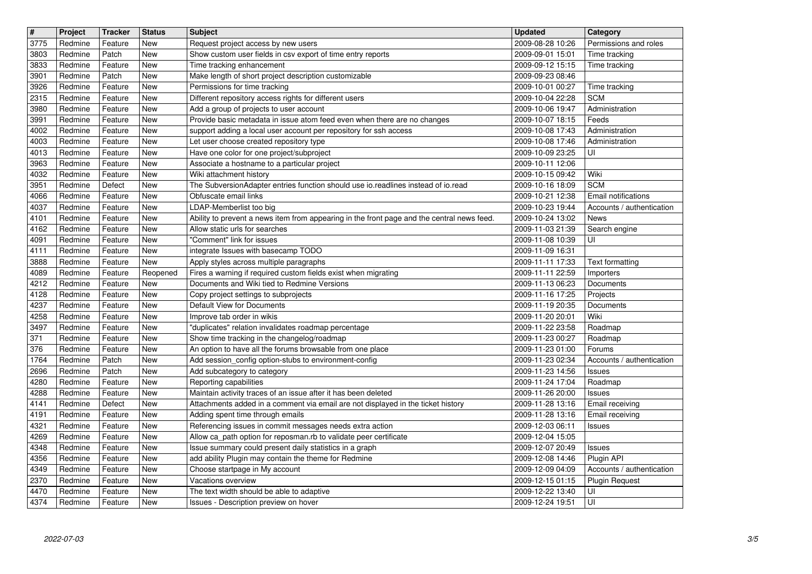| $\vert$ #    | Project            | <b>Tracker</b>     | <b>Status</b>     | <b>Subject</b>                                                                                                                | <b>Updated</b>                       | Category                                         |
|--------------|--------------------|--------------------|-------------------|-------------------------------------------------------------------------------------------------------------------------------|--------------------------------------|--------------------------------------------------|
| 3775         | Redmine            | Feature            | <b>New</b>        | Request project access by new users                                                                                           | 2009-08-28 10:26                     | Permissions and roles                            |
| 3803         | Redmine            | Patch              | New               | Show custom user fields in csv export of time entry reports                                                                   | 2009-09-01 15:01                     | Time tracking                                    |
| 3833         | Redmine            | Feature            | New               | Time tracking enhancement                                                                                                     | 2009-09-12 15:15                     | Time tracking                                    |
| 3901<br>3926 | Redmine<br>Redmine | Patch<br>Feature   | New<br>New        | Make length of short project description customizable<br>Permissions for time tracking                                        | 2009-09-23 08:46<br>2009-10-01 00:27 | Time tracking                                    |
| 2315         | Redmine            | Feature            | <b>New</b>        | Different repository access rights for different users                                                                        | 2009-10-04 22:28                     | <b>SCM</b>                                       |
| 3980         | Redmine            | Feature            | New               | Add a group of projects to user account                                                                                       | 2009-10-06 19:47                     | Administration                                   |
| 3991         | Redmine            | Feature            | New               | Provide basic metadata in issue atom feed even when there are no changes                                                      | 2009-10-07 18:15                     | Feeds                                            |
| 4002         | Redmine            | Feature            | <b>New</b>        | support adding a local user account per repository for ssh access                                                             | 2009-10-08 17:43                     | Administration                                   |
| 4003         | Redmine            | Feature            | New               | Let user choose created repository type                                                                                       | 2009-10-08 17:46                     | Administration                                   |
| 4013         | Redmine            | Feature            | New               | Have one color for one project/subproject                                                                                     | 2009-10-09 23:25                     | UI                                               |
| 3963         | Redmine            | Feature            | New               | Associate a hostname to a particular project                                                                                  | 2009-10-11 12:06                     |                                                  |
| 4032         | Redmine            | Feature            | New               | Wiki attachment history                                                                                                       | 2009-10-15 09:42                     | Wiki                                             |
| 3951         | Redmine            | Defect             | <b>New</b>        | The SubversionAdapter entries function should use io.readlines instead of io.read                                             | 2009-10-16 18:09                     | <b>SCM</b>                                       |
| 4066<br>4037 | Redmine<br>Redmine | Feature<br>Feature | <b>New</b><br>New | Obfuscate email links<br>LDAP-Memberlist too big                                                                              | 2009-10-21 12:38<br>2009-10-23 19:44 | Email notifications<br>Accounts / authentication |
| 4101         | Redmine            | Feature            | New               | Ability to prevent a news item from appearing in the front page and the central news feed.                                    | 2009-10-24 13:02                     | News                                             |
| 4162         | Redmine            | Feature            | New               | Allow static urls for searches                                                                                                | 2009-11-03 21:39                     | Search engine                                    |
| 4091         | Redmine            | Feature            | New               | "Comment" link for issues                                                                                                     | 2009-11-08 10:39                     | UI                                               |
| 4111         | Redmine            | Feature            | New               | integrate Issues with basecamp TODO                                                                                           | 2009-11-09 16:31                     |                                                  |
| 3888         | Redmine            | Feature            | New               | Apply styles across multiple paragraphs                                                                                       | 2009-11-11 17:33                     | <b>Text formatting</b>                           |
| 4089         | Redmine            | Feature            | Reopened          | Fires a warning if required custom fields exist when migrating                                                                | 2009-11-11 22:59                     | Importers                                        |
| 4212         | Redmine            | Feature            | <b>New</b>        | Documents and Wiki tied to Redmine Versions                                                                                   | 2009-11-13 06:23                     | Documents                                        |
| 4128         | Redmine            | Feature            | New               | Copy project settings to subprojects                                                                                          | 2009-11-16 17:25                     | Projects                                         |
| 4237         | Redmine<br>Redmine | Feature            | New               | Default View for Documents<br>Improve tab order in wikis                                                                      | 2009-11-19 20:35<br>2009-11-20 20:01 | Documents<br>Wiki                                |
| 4258<br>3497 | Redmine            | Feature<br>Feature | New<br>New        | "duplicates" relation invalidates roadmap percentage                                                                          | 2009-11-22 23:58                     | Roadmap                                          |
| 371          | Redmine            | Feature            | New               | Show time tracking in the changelog/roadmap                                                                                   | 2009-11-23 00:27                     | Roadmap                                          |
| 376          | Redmine            | Feature            | New               | An option to have all the forums browsable from one place                                                                     | 2009-11-23 01:00                     | Forums                                           |
| 1764         | Redmine            | Patch              | New               | Add session_config option-stubs to environment-config                                                                         | 2009-11-23 02:34                     | Accounts / authentication                        |
| 2696         | Redmine            | Patch              | <b>New</b>        | Add subcategory to category                                                                                                   | 2009-11-23 14:56                     | Issues                                           |
| 4280         | Redmine            | Feature            | New               | Reporting capabilities                                                                                                        | 2009-11-24 17:04                     | Roadmap                                          |
| 4288         | Redmine            | Feature            | New               | Maintain activity traces of an issue after it has been deleted                                                                | 2009-11-26 20:00                     | Issues                                           |
| 4141         | Redmine            | Defect             | New               | Attachments added in a comment via email are not displayed in the ticket history                                              | 2009-11-28 13:16                     | Email receiving                                  |
| 4191         | Redmine            | Feature            | New               | Adding spent time through emails                                                                                              | 2009-11-28 13:16                     | Email receiving                                  |
| 4321         | Redmine<br>Redmine | Feature<br>Feature | New<br><b>New</b> | Referencing issues in commit messages needs extra action<br>Allow ca_path option for reposman.rb to validate peer certificate | 2009-12-03 06:11                     | Issues                                           |
| 4269<br>4348 | Redmine            |                    | New               | Issue summary could present daily statistics in a graph                                                                       | 2009-12-04 15:05<br>2009-12-07 20:49 |                                                  |
| 4356         | Redmine            | Feature<br>Feature | New               | add ability Plugin may contain the theme for Redmine                                                                          | 2009-12-08 14:46                     | <b>Issues</b><br>Plugin API                      |
| 4349         | Redmine            | Feature            | New               | Choose startpage in My account                                                                                                | 2009-12-09 04:09                     | Accounts / authentication                        |
| 2370         | Redmine            | Feature            | <b>New</b>        | Vacations overview                                                                                                            | 2009-12-15 01:15                     | <b>Plugin Request</b>                            |
| 4470         | Redmine            | Feature            | New               | The text width should be able to adaptive                                                                                     | 2009-12-22 13:40                     | UI                                               |
| 4374         | Redmine            | Feature            | New               | Issues - Description preview on hover                                                                                         | 2009-12-24 19:51                     | UI                                               |
|              |                    |                    |                   |                                                                                                                               |                                      |                                                  |
|              |                    |                    |                   |                                                                                                                               |                                      |                                                  |
|              |                    |                    |                   |                                                                                                                               |                                      |                                                  |
|              |                    |                    |                   |                                                                                                                               |                                      |                                                  |
|              |                    |                    |                   |                                                                                                                               |                                      |                                                  |
|              |                    |                    |                   |                                                                                                                               |                                      |                                                  |
|              |                    |                    |                   |                                                                                                                               |                                      |                                                  |
|              |                    |                    |                   |                                                                                                                               |                                      |                                                  |
|              |                    |                    |                   |                                                                                                                               |                                      |                                                  |
|              |                    |                    |                   |                                                                                                                               |                                      |                                                  |
|              |                    |                    |                   |                                                                                                                               |                                      |                                                  |
|              |                    |                    |                   |                                                                                                                               |                                      |                                                  |
|              |                    |                    |                   |                                                                                                                               |                                      |                                                  |
|              |                    |                    |                   |                                                                                                                               |                                      |                                                  |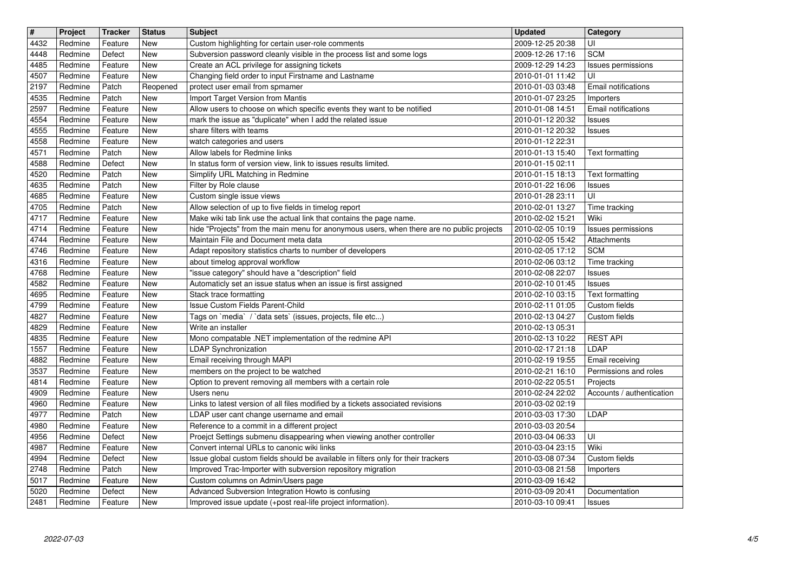| $\overline{\mathbf{H}}$ | Project            | <b>Tracker</b>     | <b>Status</b>            | <b>Subject</b>                                                                                                                    | <b>Updated</b>                       | Category                                 |
|-------------------------|--------------------|--------------------|--------------------------|-----------------------------------------------------------------------------------------------------------------------------------|--------------------------------------|------------------------------------------|
| 4432<br>4448            | Redmine<br>Redmine | Feature<br>Defect  | <b>New</b><br><b>New</b> | Custom highlighting for certain user-role comments<br>Subversion password cleanly visible in the process list and some logs       | 2009-12-25 20:38<br>2009-12-26 17:16 | UI<br><b>SCM</b>                         |
| 4485                    | Redmine            | Feature            | <b>New</b>               | Create an ACL privilege for assigning tickets                                                                                     | 2009-12-29 14:23                     | Issues permissions                       |
| 4507                    | Redmine            | Feature            | <b>New</b>               | Changing field order to input Firstname and Lastname                                                                              | 2010-01-01 11:42                     | UI                                       |
| 2197                    | Redmine            | Patch              | Reopened                 | protect user email from spmamer                                                                                                   | 2010-01-03 03:48                     | Email notifications                      |
| 4535<br>2597            | Redmine<br>Redmine | Patch<br>Feature   | <b>New</b><br><b>New</b> | Import Target Version from Mantis<br>Allow users to choose on which specific events they want to be notified                      | 2010-01-07 23:25<br>2010-01-08 14:51 | Importers<br>Email notifications         |
| 4554                    | Redmine            | Feature            | New                      | mark the issue as "duplicate" when I add the related issue                                                                        | 2010-01-12 20:32                     | <b>Issues</b>                            |
| 4555                    | Redmine            | Feature            | <b>New</b>               | share filters with teams                                                                                                          | 2010-01-12 20:32                     | Issues                                   |
| 4558<br>4571            | Redmine<br>Redmine | Feature<br>Patch   | <b>New</b><br>New        | watch categories and users<br>Allow labels for Redmine links                                                                      | 2010-01-12 22:31<br>2010-01-13 15:40 | Text formatting                          |
| 4588                    | Redmine            | Defect             | <b>New</b>               | In status form of version view, link to issues results limited.                                                                   | 2010-01-15 02:11                     |                                          |
| 4520                    | Redmine            | Patch              | <b>New</b>               | Simplify URL Matching in Redmine                                                                                                  | 2010-01-15 18:13                     | <b>Text formatting</b>                   |
| 4635<br>4685            | Redmine<br>Redmine | Patch<br>Feature   | <b>New</b><br>New        | Filter by Role clause<br>Custom single issue views                                                                                | 2010-01-22 16:06<br>2010-01-28 23:11 | Issues<br>UI                             |
| 4705                    | Redmine            | Patch              | <b>New</b>               | Allow selection of up to five fields in timelog report                                                                            | 2010-02-01 13:27                     | Time tracking                            |
| 4717                    | Redmine            | Feature            | New                      | Make wiki tab link use the actual link that contains the page name.                                                               | 2010-02-02 15:21                     | Wiki                                     |
| 4714<br>4744            | Redmine<br>Redmine | Feature<br>Feature | New<br><b>New</b>        | hide "Projects" from the main menu for anonymous users, when there are no public projects<br>Maintain File and Document meta data | 2010-02-05 10:19<br>2010-02-05 15:42 | Issues permissions<br>Attachments        |
| 4746                    | Redmine            | Feature            | <b>New</b>               | Adapt repository statistics charts to number of developers                                                                        | 2010-02-05 17:12                     | <b>SCM</b>                               |
| 4316                    | Redmine            | Feature            | <b>New</b>               | about timelog approval workflow                                                                                                   | 2010-02-06 03:12                     | Time tracking                            |
| 4768<br>4582            | Redmine<br>Redmine | Feature<br>Feature | New<br>New               | 'issue category" should have a "description" field<br>Automaticly set an issue status when an issue is first assigned             | 2010-02-08 22:07<br>2010-02-10 01:45 | Issues<br>Issues                         |
| 4695                    | Redmine            | Feature            | New                      | Stack trace formatting                                                                                                            | 2010-02-10 03:15                     | Text formatting                          |
| 4799                    | Redmine            | Feature            | New                      | Issue Custom Fields Parent-Child                                                                                                  | 2010-02-11 01:05                     | Custom fields                            |
| 4827<br>4829            | Redmine<br>Redmine | Feature<br>Feature | <b>New</b><br><b>New</b> | Tags on `media` / `data sets` (issues, projects, file etc)<br>Write an installer                                                  | 2010-02-13 04:27<br>2010-02-13 05:31 | Custom fields                            |
| 4835                    | Redmine            | Feature            | <b>New</b>               | Mono compatable .NET implementation of the redmine API                                                                            | 2010-02-13 10:22                     | <b>REST API</b>                          |
| 1557                    | Redmine            | Feature            | <b>New</b>               | <b>LDAP Synchronization</b>                                                                                                       | 2010-02-17 21:18                     | LDAP                                     |
| 4882<br>3537            | Redmine<br>Redmine | Feature<br>Feature | <b>New</b><br>New        | Email receiving through MAPI<br>members on the project to be watched                                                              | 2010-02-19 19:55<br>2010-02-21 16:10 | Email receiving<br>Permissions and roles |
| 4814                    | Redmine            | Feature            | <b>New</b>               | Option to prevent removing all members with a certain role                                                                        | 2010-02-22 05:51                     | Projects                                 |
| 4909                    | Redmine<br>Redmine | Feature<br>Feature | <b>New</b><br><b>New</b> | Users nenu<br>Links to latest version of all files modified by a tickets associated revisions                                     | 2010-02-24 22:02<br>2010-03-02 02:19 | Accounts / authentication                |
| 4960<br>4977            | Redmine            | Patch              | <b>New</b>               | LDAP user cant change username and email                                                                                          | 2010-03-03 17:30                     | LDAP                                     |
| 4980                    | Redmine            | Feature            | <b>New</b>               | Reference to a commit in a different project                                                                                      | 2010-03-03 20:54                     |                                          |
| 4956<br>4987            | Redmine<br>Redmine | Defect<br>Feature  | <b>New</b><br><b>New</b> | Proejct Settings submenu disappearing when viewing another controller<br>Convert internal URLs to canonic wiki links              | 2010-03-04 06:33<br>2010-03-04 23:15 | UI<br>Wiki                               |
| 4994                    | Redmine            | Defect             | New                      | Issue global custom fields should be available in filters only for their trackers                                                 | 2010-03-08 07:34                     | Custom fields                            |
| 2748                    | Redmine            | Patch              | New                      | Improved Trac-Importer with subversion repository migration                                                                       | 2010-03-08 21:58                     | Importers                                |
| 5017<br>5020            | Redmine<br>Redmine | Feature<br>Defect  | New<br>New               | Custom columns on Admin/Users page<br>Advanced Subversion Integration Howto is confusing                                          | 2010-03-09 16:42<br>2010-03-09 20:41 | Documentation                            |
| 2481                    | Redmine            | Feature            | New                      | Improved issue update (+post real-life project information).                                                                      | 2010-03-10 09:41                     | <b>Issues</b>                            |
|                         |                    |                    |                          |                                                                                                                                   |                                      |                                          |
|                         |                    |                    |                          |                                                                                                                                   |                                      |                                          |
|                         |                    |                    |                          |                                                                                                                                   |                                      |                                          |
|                         |                    |                    |                          |                                                                                                                                   |                                      |                                          |
|                         |                    |                    |                          |                                                                                                                                   |                                      |                                          |
|                         |                    |                    |                          |                                                                                                                                   |                                      |                                          |
|                         |                    |                    |                          |                                                                                                                                   |                                      |                                          |
|                         |                    |                    |                          |                                                                                                                                   |                                      |                                          |